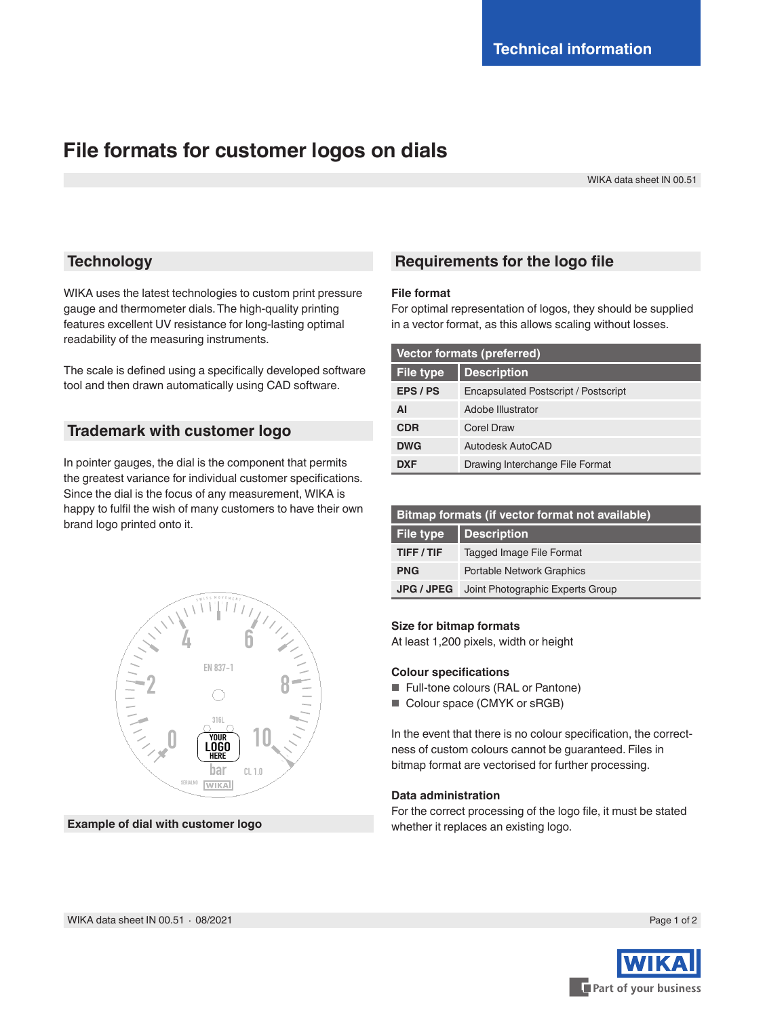# **File formats for customer logos on dials**

WIKA data sheet IN 00.51

## **Technology**

WIKA uses the latest technologies to custom print pressure gauge and thermometer dials. The high-quality printing features excellent UV resistance for long-lasting optimal readability of the measuring instruments.

The scale is defined using a specifically developed software tool and then drawn automatically using CAD software.

## **Trademark with customer logo**

In pointer gauges, the dial is the component that permits the greatest variance for individual customer specifications. Since the dial is the focus of any measurement, WIKA is happy to fulfil the wish of many customers to have their own brand logo printed onto it.



## **Requirements for the logo file**

### **File format**

For optimal representation of logos, they should be supplied in a vector format, as this allows scaling without losses.

| <b>Vector formats (preferred)</b> |                                      |
|-----------------------------------|--------------------------------------|
| <b>File type</b>                  | <b>Description</b>                   |
| EPS / PS                          | Encapsulated Postscript / Postscript |
| ΑI                                | Adobe Illustrator                    |
| <b>CDR</b>                        | Corel Draw                           |
| <b>DWG</b>                        | Autodesk AutoCAD                     |
| <b>DXF</b>                        | Drawing Interchange File Format      |

| Bitmap formats (if vector format not available) |                                  |
|-------------------------------------------------|----------------------------------|
| File type                                       | <b>Description</b>               |
| TIFF/TIF                                        | <b>Tagged Image File Format</b>  |
| <b>PNG</b>                                      | <b>Portable Network Graphics</b> |
| <b>JPG / JPEG</b>                               | Joint Photographic Experts Group |

## **Size for bitmap formats**

At least 1,200 pixels, width or height

#### **Colour specifications**

- Full-tone colours (RAL or Pantone)
- Colour space (CMYK or sRGB)

In the event that there is no colour specification, the correctness of custom colours cannot be guaranteed. Files in bitmap format are vectorised for further processing.

#### **Data administration**

For the correct processing of the logo file, it must be stated **Example of dial with customer logo** whether it replaces an existing logo.